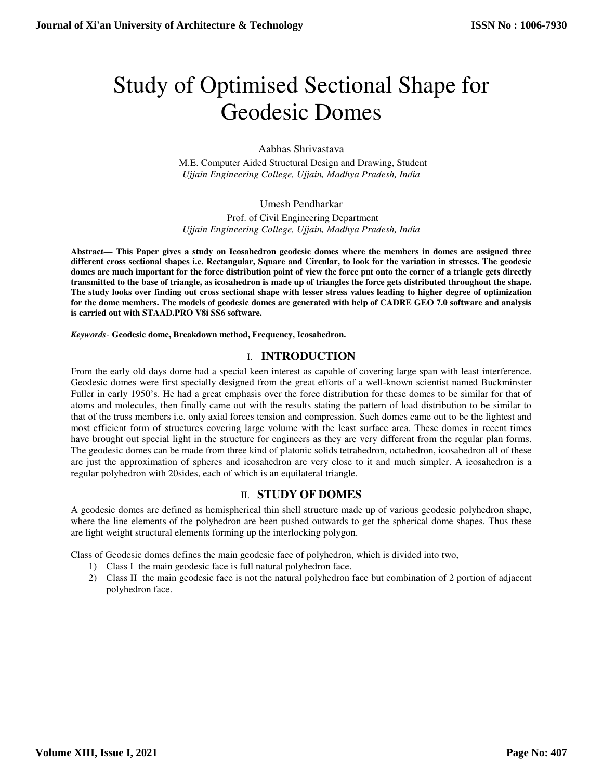# Study of Optimised Sectional Shape for Geodesic Domes

Aabhas Shrivastava

M.E. Computer Aided Structural Design and Drawing, Student *Ujjain Engineering College, Ujjain, Madhya Pradesh, India* 

Umesh Pendharkar

Prof. of Civil Engineering Department *Ujjain Engineering College, Ujjain, Madhya Pradesh, India* 

**Abstract— This Paper gives a study on Icosahedron geodesic domes where the members in domes are assigned three different cross sectional shapes i.e. Rectangular, Square and Circular, to look for the variation in stresses. The geodesic domes are much important for the force distribution point of view the force put onto the corner of a triangle gets directly transmitted to the base of triangle, as icosahedron is made up of triangles the force gets distributed throughout the shape. The study looks over finding out cross sectional shape with lesser stress values leading to higher degree of optimization for the dome members. The models of geodesic domes are generated with help of CADRE GEO 7.0 software and analysis is carried out with STAAD.PRO V8i SS6 software.** 

*Keywords*- **Geodesic dome, Breakdown method, Frequency, Icosahedron.**

## I. **INTRODUCTION**

From the early old days dome had a special keen interest as capable of covering large span with least interference. Geodesic domes were first specially designed from the great efforts of a well-known scientist named Buckminster Fuller in early 1950's. He had a great emphasis over the force distribution for these domes to be similar for that of atoms and molecules, then finally came out with the results stating the pattern of load distribution to be similar to that of the truss members i.e. only axial forces tension and compression. Such domes came out to be the lightest and most efficient form of structures covering large volume with the least surface area. These domes in recent times have brought out special light in the structure for engineers as they are very different from the regular plan forms. The geodesic domes can be made from three kind of platonic solids tetrahedron, octahedron, icosahedron all of these are just the approximation of spheres and icosahedron are very close to it and much simpler. A icosahedron is a regular polyhedron with 20sides, each of which is an equilateral triangle.

### II. **STUDY OF DOMES**

A geodesic domes are defined as hemispherical thin shell structure made up of various geodesic polyhedron shape, where the line elements of the polyhedron are been pushed outwards to get the spherical dome shapes. Thus these are light weight structural elements forming up the interlocking polygon.

Class of Geodesic domes defines the main geodesic face of polyhedron, which is divided into two,

- 1) Class I the main geodesic face is full natural polyhedron face.
- 2) Class II the main geodesic face is not the natural polyhedron face but combination of 2 portion of adjacent polyhedron face.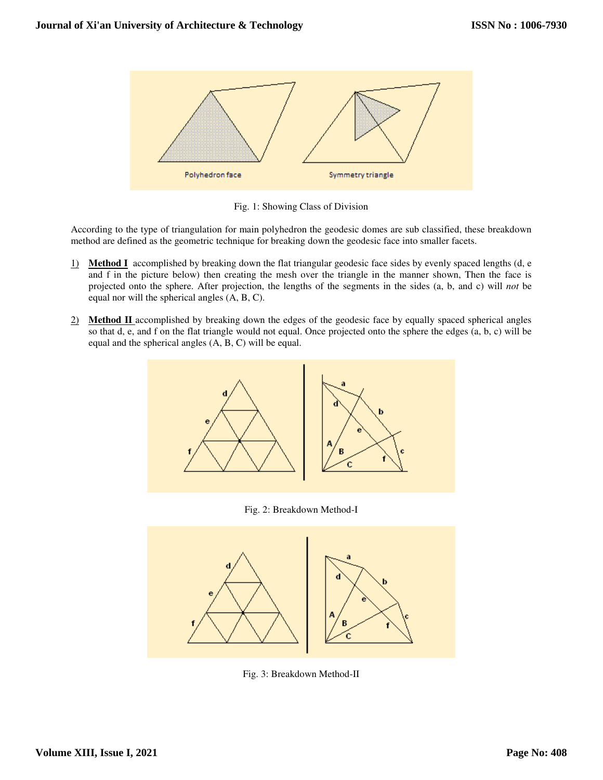

Fig. 1: Showing Class of Division

According to the type of triangulation for main polyhedron the geodesic domes are sub classified, these breakdown method are defined as the geometric technique for breaking down the geodesic face into smaller facets.

- 1) **Method I** accomplished by breaking down the flat triangular geodesic face sides by evenly spaced lengths (d, e and f in the picture below) then creating the mesh over the triangle in the manner shown, Then the face is projected onto the sphere. After projection, the lengths of the segments in the sides (a, b, and c) will *not* be equal nor will the spherical angles (A, B, C).
- 2) **Method II** accomplished by breaking down the edges of the geodesic face by equally spaced spherical angles so that d, e, and f on the flat triangle would not equal. Once projected onto the sphere the edges (a, b, c) will be equal and the spherical angles (A, B, C) will be equal.



Fig. 2: Breakdown Method-I



Fig. 3: Breakdown Method-II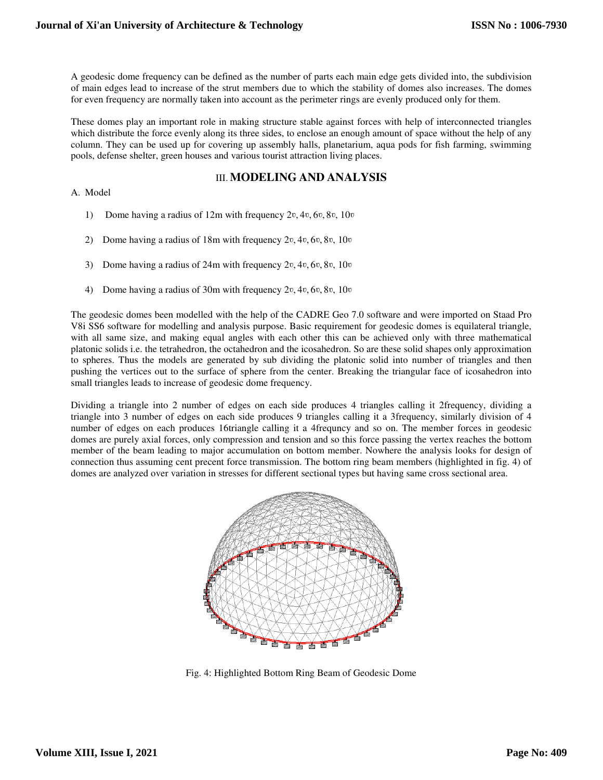A geodesic dome frequency can be defined as the number of parts each main edge gets divided into, the subdivision of main edges lead to increase of the strut members due to which the stability of domes also increases. The domes for even frequency are normally taken into account as the perimeter rings are evenly produced only for them.

These domes play an important role in making structure stable against forces with help of interconnected triangles which distribute the force evenly along its three sides, to enclose an enough amount of space without the help of any column. They can be used up for covering up assembly halls, planetarium, aqua pods for fish farming, swimming pools, defense shelter, green houses and various tourist attraction living places.

## III.**MODELING AND ANALYSIS**

#### A. Model

- 1) Dome having a radius of 12m with frequency  $2v, 4v, 6v, 8v, 10v$
- 2) Dome having a radius of 18m with frequency  $2v, 4v, 6v, 8v, 10v$
- 3) Dome having a radius of  $24m$  with frequency  $2v, 4v, 6v, 8v, 10v$
- 4) Dome having a radius of 30m with frequency  $2v, 4v, 6v, 8v, 10v$

The geodesic domes been modelled with the help of the CADRE Geo 7.0 software and were imported on Staad Pro V8i SS6 software for modelling and analysis purpose. Basic requirement for geodesic domes is equilateral triangle, with all same size, and making equal angles with each other this can be achieved only with three mathematical platonic solids i.e. the tetrahedron, the octahedron and the icosahedron. So are these solid shapes only approximation to spheres. Thus the models are generated by sub dividing the platonic solid into number of triangles and then pushing the vertices out to the surface of sphere from the center. Breaking the triangular face of icosahedron into small triangles leads to increase of geodesic dome frequency.

Dividing a triangle into 2 number of edges on each side produces 4 triangles calling it 2frequency, dividing a triangle into 3 number of edges on each side produces 9 triangles calling it a 3frequency, similarly division of 4 number of edges on each produces 16triangle calling it a 4frequncy and so on. The member forces in geodesic domes are purely axial forces, only compression and tension and so this force passing the vertex reaches the bottom member of the beam leading to major accumulation on bottom member. Nowhere the analysis looks for design of connection thus assuming cent precent force transmission. The bottom ring beam members (highlighted in fig. 4) of domes are analyzed over variation in stresses for different sectional types but having same cross sectional area.



Fig. 4: Highlighted Bottom Ring Beam of Geodesic Dome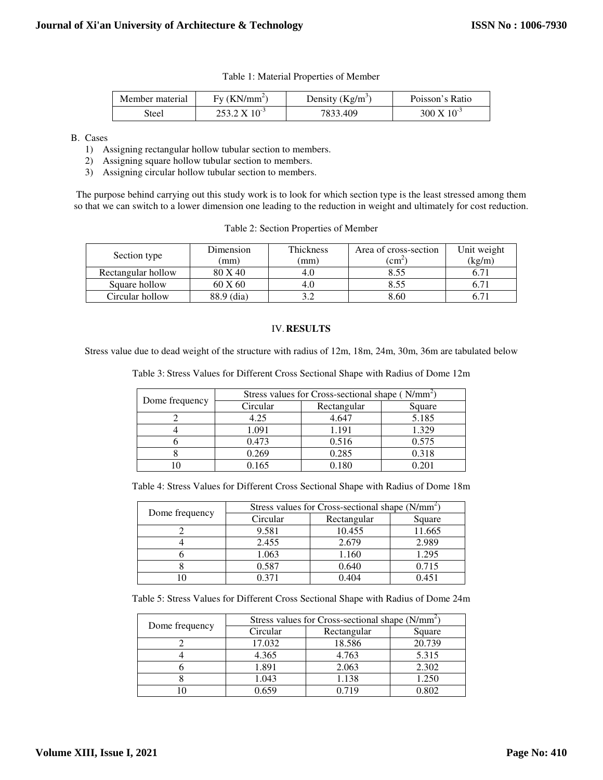| Member material | $Fv$ (KN/mm <sup>2)</sup>  | Density $(Kg/m^3)$ | Poisson's Ratio         |
|-----------------|----------------------------|--------------------|-------------------------|
| <b>Steel</b>    | $253.2 \text{ X } 10^{-3}$ | 7833.409           | $300 \text{ X} 10^{-3}$ |

B. Cases

- 1) Assigning rectangular hollow tubular section to members.
- 2) Assigning square hollow tubular section to members.
- 3) Assigning circular hollow tubular section to members.

The purpose behind carrying out this study work is to look for which section type is the least stressed among them so that we can switch to a lower dimension one leading to the reduction in weight and ultimately for cost reduction.

|  |  |  | Table 2: Section Properties of Member |
|--|--|--|---------------------------------------|
|--|--|--|---------------------------------------|

| Section type       | Dimension<br>(mm) | Thickness<br>(mm) | Area of cross-section<br>$\mathfrak{c}$ m <sup><math>\mathfrak{c}</math></sup> | Unit weight<br>(kg/m) |
|--------------------|-------------------|-------------------|--------------------------------------------------------------------------------|-----------------------|
|                    |                   |                   |                                                                                |                       |
| Rectangular hollow | 80 X 40           | 4.0               | 8.55                                                                           |                       |
| Square hollow      | 60 X 60           | 4.0               | 8.55                                                                           |                       |
| Circular hollow    | 88.9 (dia)        |                   | 8.60                                                                           |                       |

#### IV.**RESULTS**

Stress value due to dead weight of the structure with radius of 12m, 18m, 24m, 30m, 36m are tabulated below

Table 3: Stress Values for Different Cross Sectional Shape with Radius of Dome 12m

| Dome frequency | Stress values for Cross-sectional shape (N/mm <sup>2</sup> ) |             |        |  |
|----------------|--------------------------------------------------------------|-------------|--------|--|
|                | Circular                                                     | Rectangular | Square |  |
|                | 4.25                                                         | 4.647       | 5.185  |  |
|                | 1.091                                                        | 1.191       | 1.329  |  |
|                | 0.473                                                        | 0.516       | 0.575  |  |
|                | 0.269                                                        | 0.285       | 0.318  |  |
|                | 0.165                                                        | 0.180       | 0.201  |  |

Table 4: Stress Values for Different Cross Sectional Shape with Radius of Dome 18m

| Dome frequency | Stress values for Cross-sectional shape (N/mm <sup>2</sup> ) |             |        |  |
|----------------|--------------------------------------------------------------|-------------|--------|--|
|                | Circular                                                     | Rectangular | Square |  |
|                | 9.581                                                        | 10.455      | 11.665 |  |
|                | 2.455                                                        | 2.679       | 2.989  |  |
|                | 1.063                                                        | 1.160       | 1.295  |  |
|                | 0.587                                                        | 0.640       | 0.715  |  |
|                | በ 371                                                        | 0.404       | 0.451  |  |

Table 5: Stress Values for Different Cross Sectional Shape with Radius of Dome 24m

| Dome frequency | Stress values for Cross-sectional shape (N/mm <sup>2</sup> ) |             |        |  |
|----------------|--------------------------------------------------------------|-------------|--------|--|
|                | Circular                                                     | Rectangular | Square |  |
|                | 17.032                                                       | 18.586      | 20.739 |  |
|                | 4.365                                                        | 4.763       | 5.315  |  |
|                | 1.891                                                        | 2.063       | 2.302  |  |
|                | 1.043                                                        | 1.138       | 1.250  |  |
|                | ) 659                                                        | በ 719       | 0.802  |  |